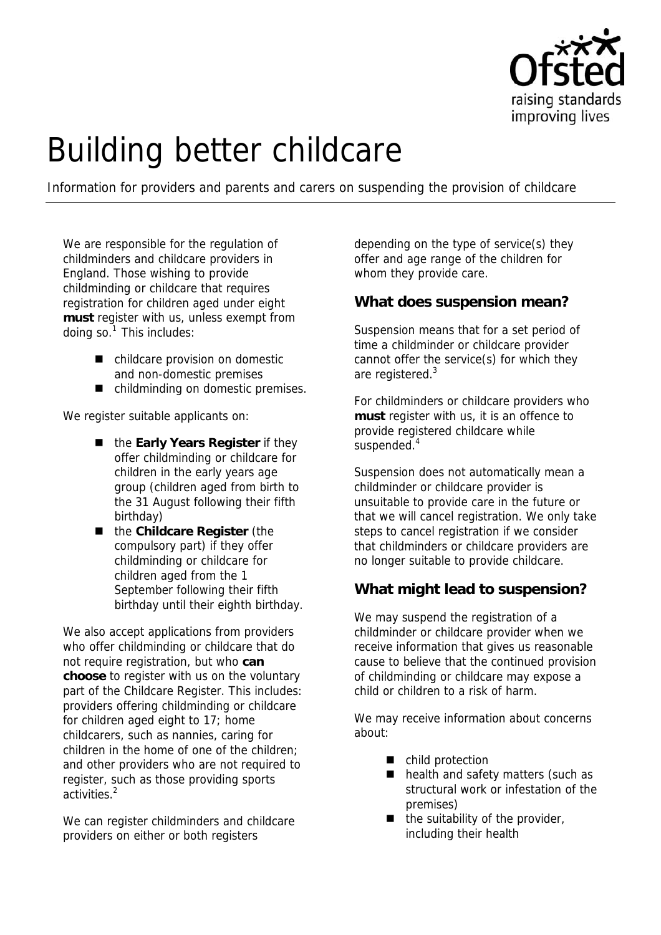

# Building better childcare

Information for providers and parents and carers on suspending the provision of childcare

We are responsible for the regulation of childminders and childcare providers in England. Those wishing to provide childminding or childcare that requires registration for children aged under eight **must** register with us, unless exempt from doing so. $1$  This includes:

- childcare provision on domestic and non-domestic premises
- childminding on domestic premises.

We register suitable applicants on:

- the **Early Years Register** if they offer childminding or childcare for children in the early years age group (children aged from birth to the 31 August following their fifth birthday)
- the **Childcare Register** (the compulsory part) if they offer childminding or childcare for children aged from the 1 September following their fifth birthday until their eighth birthday.

We also accept applications from providers who offer childminding or childcare that do not require registration, but who **can choose** to register with us on the voluntary part of the Childcare Register. This includes: providers offering childminding or childcare for children aged eight to 17; home childcarers, such as nannies, caring for children in the home of one of the children; and other providers who are not required to register, such as those providing sports activities.<sup>2</sup>

We can register childminders and childcare providers on either or both registers

depending on the type of service(s) they offer and age range of the children for whom they provide care.

### **What does suspension mean?**

Suspension means that for a set period of time a childminder or childcare provider cannot offer the service(s) for which they are registered.<sup>3</sup>

For childminders or childcare providers who **must** register with us, it is an offence to provide registered childcare while suspended.<sup>4</sup>

Suspension does not automatically mean a childminder or childcare provider is unsuitable to provide care in the future or that we will cancel registration. We only take steps to cancel registration if we consider that childminders or childcare providers are no longer suitable to provide childcare.

# **What might lead to suspension?**

We may suspend the registration of a childminder or childcare provider when we receive information that gives us reasonable cause to believe that the continued provision of childminding or childcare may expose a child or children to a risk of harm.

We may receive information about concerns about:

- child protection
- health and safety matters (such as structural work or infestation of the premises)
- $\blacksquare$  the suitability of the provider, including their health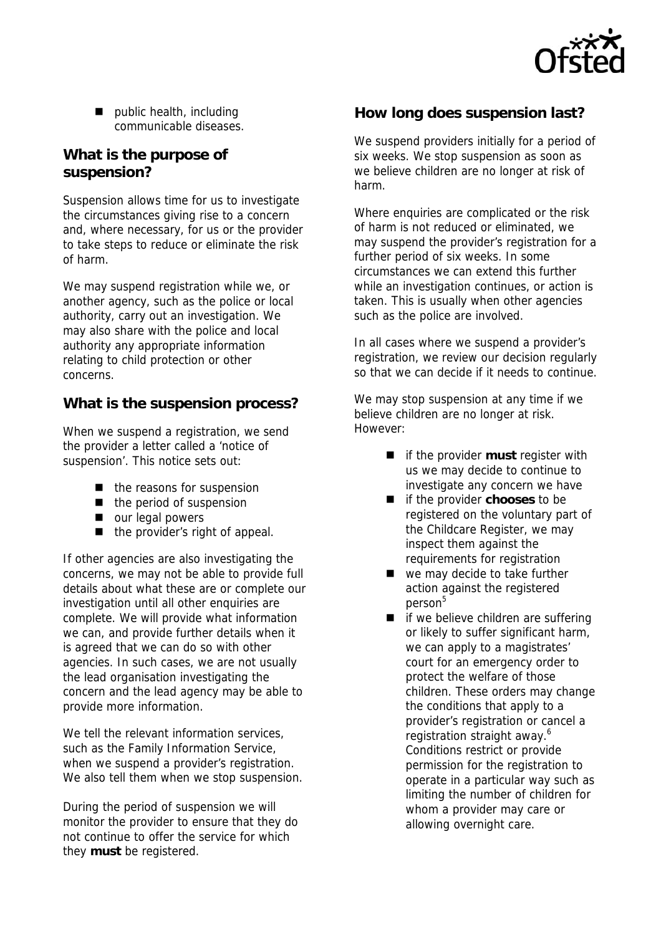

 $\blacksquare$  public health, including communicable diseases.

## **What is the purpose of suspension?**

Suspension allows time for us to investigate the circumstances giving rise to a concern and, where necessary, for us or the provider to take steps to reduce or eliminate the risk of harm.

We may suspend registration while we, or another agency, such as the police or local authority, carry out an investigation. We may also share with the police and local authority any appropriate information relating to child protection or other concerns.

# **What is the suspension process?**

When we suspend a registration, we send the provider a letter called a 'notice of suspension'. This notice sets out:

- $\blacksquare$  the reasons for suspension
- $\blacksquare$  the period of suspension
- our legal powers
- the provider's right of appeal.

If other agencies are also investigating the concerns, we may not be able to provide full details about what these are or complete our investigation until all other enquiries are complete. We will provide what information we can, and provide further details when it is agreed that we can do so with other agencies. In such cases, we are not usually the lead organisation investigating the concern and the lead agency may be able to provide more information.

We tell the relevant information services. such as the Family Information Service, when we suspend a provider's registration. We also tell them when we stop suspension.

During the period of suspension we will monitor the provider to ensure that they do not continue to offer the service for which they **must** be registered.

### **How long does suspension last?**

We suspend providers initially for a period of six weeks. We stop suspension as soon as we believe children are no longer at risk of harm.

Where enquiries are complicated or the risk of harm is not reduced or eliminated, we may suspend the provider's registration for a further period of six weeks. In some circumstances we can extend this further while an investigation continues, or action is taken. This is usually when other agencies such as the police are involved.

In all cases where we suspend a provider's registration, we review our decision regularly so that we can decide if it needs to continue.

We may stop suspension at any time if we believe children are no longer at risk. However:

- $\blacksquare$  if the provider **must** register with us we may decide to continue to investigate any concern we have
- if the provider **chooses** to be registered on the voluntary part of the Childcare Register, we may inspect them against the requirements for registration
- we may decide to take further action against the registered person<sup>5</sup>
- $\blacksquare$  if we believe children are suffering or likely to suffer significant harm, we can apply to a magistrates' court for an emergency order to protect the welfare of those children. These orders may change the conditions that apply to a provider's registration or cancel a registration straight away.<sup>6</sup> Conditions restrict or provide permission for the registration to operate in a particular way such as limiting the number of children for whom a provider may care or allowing overnight care.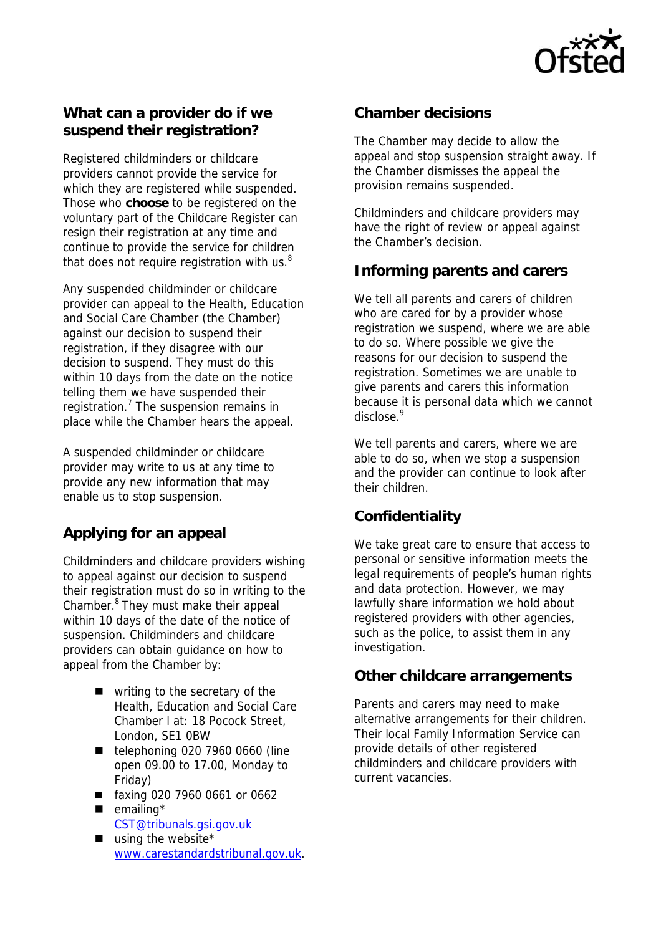

# **What can a provider do if we suspend their registration?**

Registered childminders or childcare providers cannot provide the service for which they are registered while suspended. Those who **choose** to be registered on the voluntary part of the Childcare Register can resign their registration at any time and continue to provide the service for children that does not require registration with us. $8$ 

Any suspended childminder or childcare provider can appeal to the Health, Education and Social Care Chamber (the Chamber) against our decision to suspend their registration, if they disagree with our decision to suspend. They must do this within 10 days from the date on the notice telling them we have suspended their registration.<sup>7</sup> The suspension remains in place while the Chamber hears the appeal.

A suspended childminder or childcare provider may write to us at any time to provide any new information that may enable us to stop suspension.

# **Applying for an appeal**

Childminders and childcare providers wishing to appeal against our decision to suspend their registration must do so in writing to the Chamber.8 They must make their appeal within 10 days of the date of the notice of suspension. Childminders and childcare providers can obtain guidance on how to appeal from the Chamber by:

- writing to the secretary of the Health, Education and Social Care Chamber l at: 18 Pocock Street, London, SE1 0BW
- $\blacksquare$  telephoning 020 7960 0660 (line open 09.00 to 17.00, Monday to Friday)
- faxing 020 7960 0661 or 0662
- $\blacksquare$  emailing\* CST@tribunals.gsi.gov.uk
- $\blacksquare$  using the website\* www.carestandardstribunal.gov.uk.

# **Chamber decisions**

The Chamber may decide to allow the appeal and stop suspension straight away. If the Chamber dismisses the appeal the provision remains suspended.

Childminders and childcare providers may have the right of review or appeal against the Chamber's decision.

# **Informing parents and carers**

We tell all parents and carers of children who are cared for by a provider whose registration we suspend, where we are able to do so. Where possible we give the reasons for our decision to suspend the registration. Sometimes we are unable to give parents and carers this information because it is personal data which we cannot disclose.9

We tell parents and carers, where we are able to do so, when we stop a suspension and the provider can continue to look after their children.

# **Confidentiality**

We take great care to ensure that access to personal or sensitive information meets the legal requirements of people's human rights and data protection. However, we may lawfully share information we hold about registered providers with other agencies, such as the police, to assist them in any investigation.

### **Other childcare arrangements**

Parents and carers may need to make alternative arrangements for their children. Their local Family Information Service can provide details of other registered childminders and childcare providers with current vacancies.